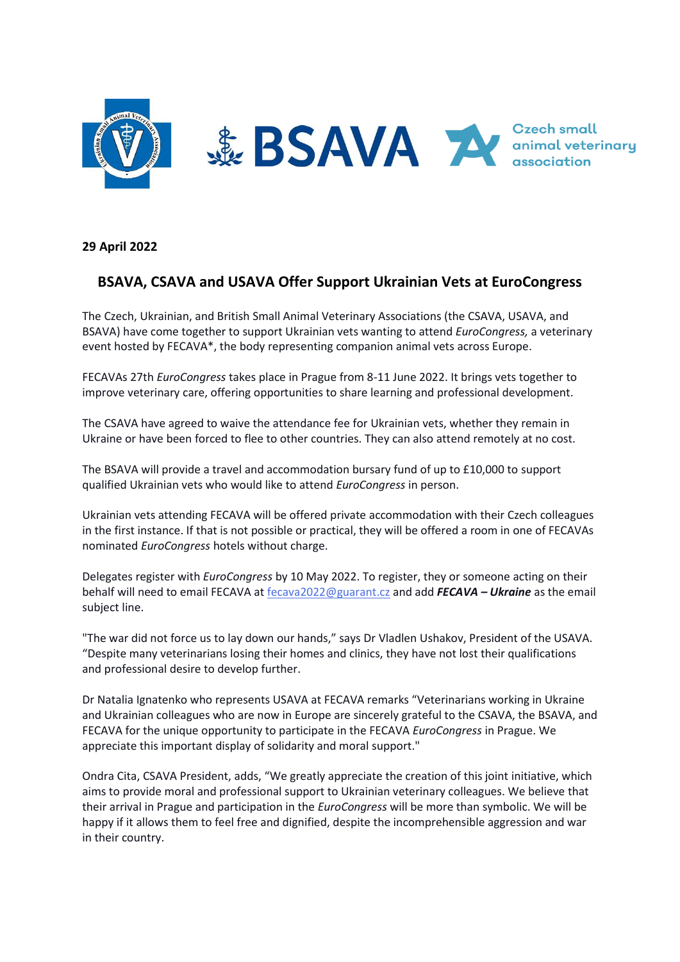

**29 April 2022**

## **BSAVA, CSAVA and USAVA Offer Support Ukrainian Vets at EuroCongress**

The Czech, Ukrainian, and British Small Animal Veterinary Associations (the CSAVA, USAVA, and BSAVA) have come together to support Ukrainian vets wanting to attend *EuroCongress,* a veterinary event hosted by FECAVA\*, the body representing companion animal vets across Europe.

FECAVAs 27th *EuroCongress* takes place in Prague from 8-11 June 2022. It brings vets together to improve veterinary care, offering opportunities to share learning and professional development.

The CSAVA have agreed to waive the attendance fee for Ukrainian vets, whether they remain in Ukraine or have been forced to flee to other countries. They can also attend remotely at no cost.

The BSAVA will provide a travel and accommodation bursary fund of up to £10,000 to support qualified Ukrainian vets who would like to attend *EuroCongress* in person.

Ukrainian vets attending FECAVA will be offered private accommodation with their Czech colleagues in the first instance. If that is not possible or practical, they will be offered a room in one of FECAVAs nominated *EuroCongress* hotels without charge.

Delegates register with *EuroCongress* by 10 May 2022. To register, they or someone acting on their behalf will need to email FECAVA at [fecava2022@guarant.cz](mailto:fecava2022@guarant.cz) and add *FECAVA – Ukraine* as the email subject line.

"The war did not force us to lay down our hands," says Dr Vladlen Ushakov, President of the USAVA. "Despite many veterinarians losing their homes and clinics, they have not lost their qualifications and professional desire to develop further.

Dr Natalia Ignatenko who represents USAVA at FECAVA remarks "Veterinarians working in Ukraine and Ukrainian colleagues who are now in Europe are sincerely grateful to the CSAVA, the BSAVA, and FECAVA for the unique opportunity to participate in the FECAVA *EuroCongress* in Prague. We appreciate this important display of solidarity and moral support."

Ondra Cita, CSAVA President, adds, "We greatly appreciate the creation of this joint initiative, which aims to provide moral and professional support to Ukrainian veterinary colleagues. We believe that their arrival in Prague and participation in the *EuroCongress* will be more than symbolic. We will be happy if it allows them to feel free and dignified, despite the incomprehensible aggression and war in their country.